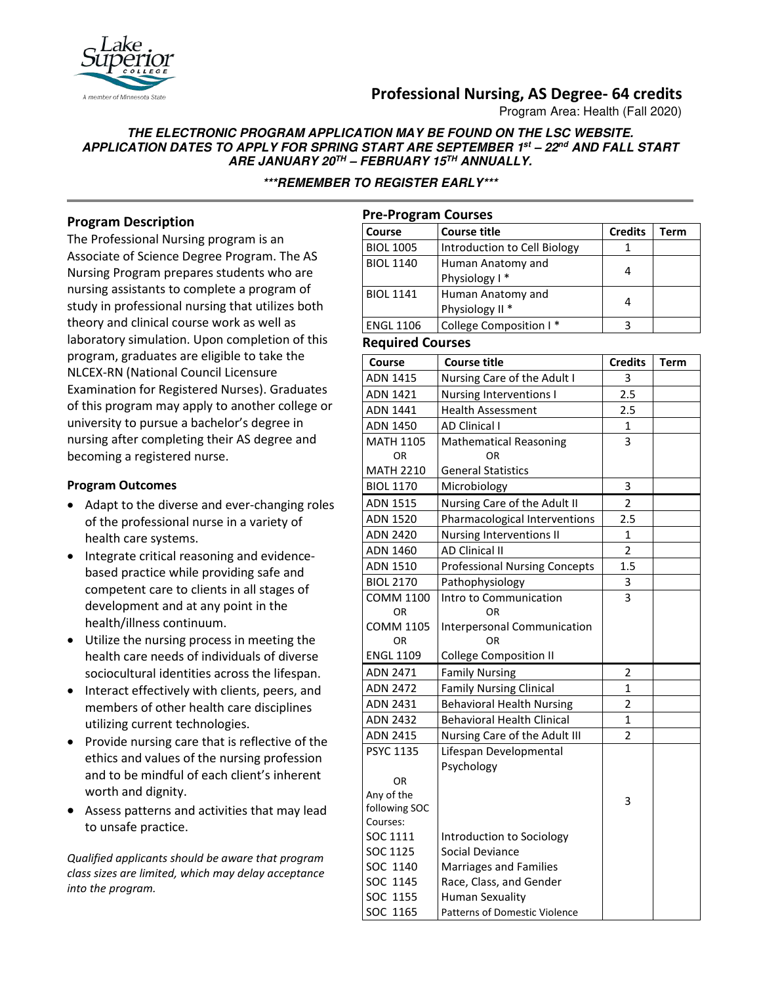# **Professional Nursing, AS Degree- 64 credits**

Program Area: Health (Fall 2020)

### **THE ELECTRONIC PROGRAM APPLICATION MAY BE FOUND ON THE LSC WEBSITE. APPLICATION DATES TO APPLY FOR SPRING START ARE SEPTEMBER 1st – 22nd AND FALL START ARE JANUARY 20TH – FEBRUARY 15TH ANNUALLY.**

**\*\*\*REMEMBER TO REGISTER EARLY\*\*\***

# **Program Description**

The Professional Nursing program is an Associate of Science Degree Program. The AS Nursing Program prepares students who are nursing assistants to complete a program of study in professional nursing that utilizes both theory and clinical course work as well as laboratory simulation. Upon completion of this program, graduates are eligible to take the NLCEX-RN (National Council Licensure Examination for Registered Nurses). Graduates of this program may apply to another college or university to pursue a bachelor's degree in nursing after completing their AS degree and becoming a registered nurse.

### **Program Outcomes**

- Adapt to the diverse and ever-changing roles of the professional nurse in a variety of health care systems.
- Integrate critical reasoning and evidencebased practice while providing safe and competent care to clients in all stages of development and at any point in the health/illness continuum.
- Utilize the nursing process in meeting the health care needs of individuals of diverse sociocultural identities across the lifespan.
- Interact effectively with clients, peers, and members of other health care disciplines utilizing current technologies.
- Provide nursing care that is reflective of the ethics and values of the nursing profession and to be mindful of each client's inherent worth and dignity.
- Assess patterns and activities that may lead to unsafe practice.

*Qualified applicants should be aware that program class sizes are limited, which may delay acceptance into the program.*

| <b>Pre-Program Courses</b> |                                                 |                |      |  |  |
|----------------------------|-------------------------------------------------|----------------|------|--|--|
| Course                     | <b>Course title</b>                             | <b>Credits</b> | Term |  |  |
| <b>BIOL 1005</b>           | Introduction to Cell Biology                    |                |      |  |  |
| <b>BIOL 1140</b>           | Human Anatomy and<br>Physiology I*              | 4              |      |  |  |
| <b>BIOL 1141</b>           | Human Anatomy and<br>Physiology II <sup>*</sup> | 4              |      |  |  |
| <b>ENGL 1106</b>           | College Composition I*                          | 3              |      |  |  |

### **Required Courses**

| Course               | <b>Course title</b>                                      | <b>Credits</b> | <b>Term</b> |
|----------------------|----------------------------------------------------------|----------------|-------------|
| <b>ADN 1415</b>      | Nursing Care of the Adult I                              | 3              |             |
| <b>ADN 1421</b>      | Nursing Interventions I                                  | 2.5            |             |
| <b>ADN 1441</b>      | <b>Health Assessment</b>                                 | 2.5            |             |
| ADN 1450             | <b>AD Clinical I</b>                                     | 1              |             |
| <b>MATH 1105</b>     | <b>Mathematical Reasoning</b>                            | 3              |             |
| 0R                   | ΟR                                                       |                |             |
| <b>MATH 2210</b>     | <b>General Statistics</b>                                |                |             |
| <b>BIOL 1170</b>     | Microbiology                                             | 3              |             |
| <b>ADN 1515</b>      | Nursing Care of the Adult II                             | $\overline{2}$ |             |
| ADN 1520             | Pharmacological Interventions                            | 2.5            |             |
| <b>ADN 2420</b>      | Nursing Interventions II                                 | $\mathbf{1}$   |             |
| <b>ADN 1460</b>      | <b>AD Clinical II</b>                                    | $\overline{2}$ |             |
| ADN 1510             | <b>Professional Nursing Concepts</b>                     | 1.5            |             |
| <b>BIOL 2170</b>     | Pathophysiology                                          | 3              |             |
| <b>COMM 1100</b>     | Intro to Communication                                   | 3              |             |
| 0R                   | ΟR                                                       |                |             |
| <b>COMM 1105</b>     | <b>Interpersonal Communication</b>                       |                |             |
| OR                   | OR                                                       |                |             |
| <b>ENGL 1109</b>     | <b>College Composition II</b>                            |                |             |
| <b>ADN 2471</b>      | <b>Family Nursing</b>                                    | 2              |             |
| <b>ADN 2472</b>      | <b>Family Nursing Clinical</b>                           | $\mathbf{1}$   |             |
| <b>ADN 2431</b>      | <b>Behavioral Health Nursing</b>                         | $\overline{2}$ |             |
| <b>ADN 2432</b>      | <b>Behavioral Health Clinical</b>                        | $\mathbf{1}$   |             |
| <b>ADN 2415</b>      | Nursing Care of the Adult III                            | $\overline{2}$ |             |
| <b>PSYC 1135</b>     | Lifespan Developmental                                   |                |             |
|                      | Psychology                                               |                |             |
| OR.                  |                                                          |                |             |
| Any of the           |                                                          | 3              |             |
| following SOC        |                                                          |                |             |
| Courses:<br>SOC 1111 |                                                          |                |             |
| SOC 1125             | Introduction to Sociology<br>Social Deviance             |                |             |
| SOC 1140             |                                                          |                |             |
| SOC 1145             | <b>Marriages and Families</b><br>Race, Class, and Gender |                |             |
| SOC 1155             | <b>Human Sexuality</b>                                   |                |             |
|                      |                                                          |                |             |
| SOC 1165             | <b>Patterns of Domestic Violence</b>                     |                |             |